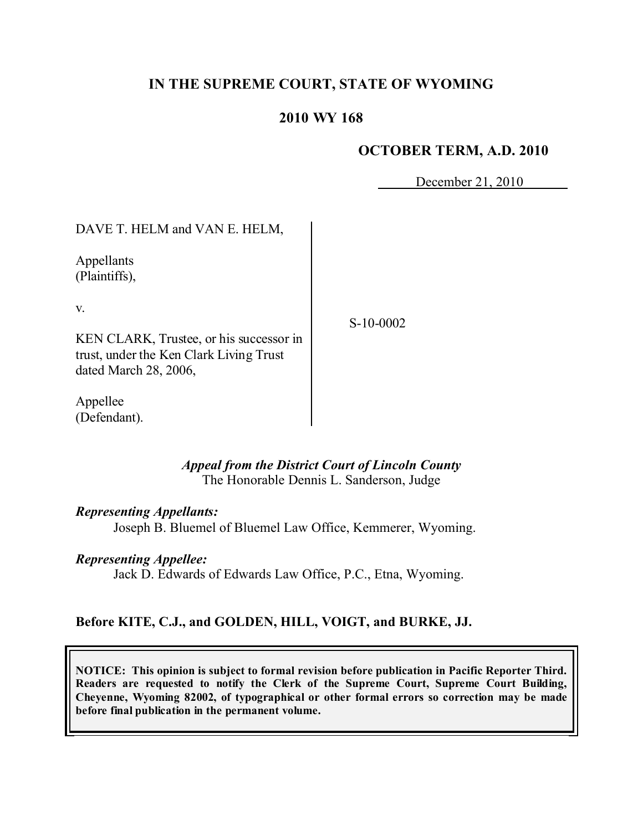## **IN THE SUPREME COURT, STATE OF WYOMING**

### **2010 WY 168**

#### **OCTOBER TERM, A.D. 2010**

December 21, 2010

DAVE T. HELM and VAN E. HELM, Appellants (Plaintiffs), v. KEN CLARK, Trustee, or his successor in trust, under the Ken Clark Living Trust dated March 28, 2006, S-10-0002

Appellee (Defendant).

> *Appeal from the District Court of Lincoln County* The Honorable Dennis L. Sanderson, Judge

*Representing Appellants:*

Joseph B. Bluemel of Bluemel Law Office, Kemmerer, Wyoming.

*Representing Appellee:*

Jack D. Edwards of Edwards Law Office, P.C., Etna, Wyoming.

#### **Before KITE, C.J., and GOLDEN, HILL, VOIGT, and BURKE, JJ.**

**NOTICE: This opinion is subject to formal revision before publication in Pacific Reporter Third. Readers are requested to notify the Clerk of the Supreme Court, Supreme Court Building, Cheyenne, Wyoming 82002, of typographical or other formal errors so correction may be made before final publication in the permanent volume.**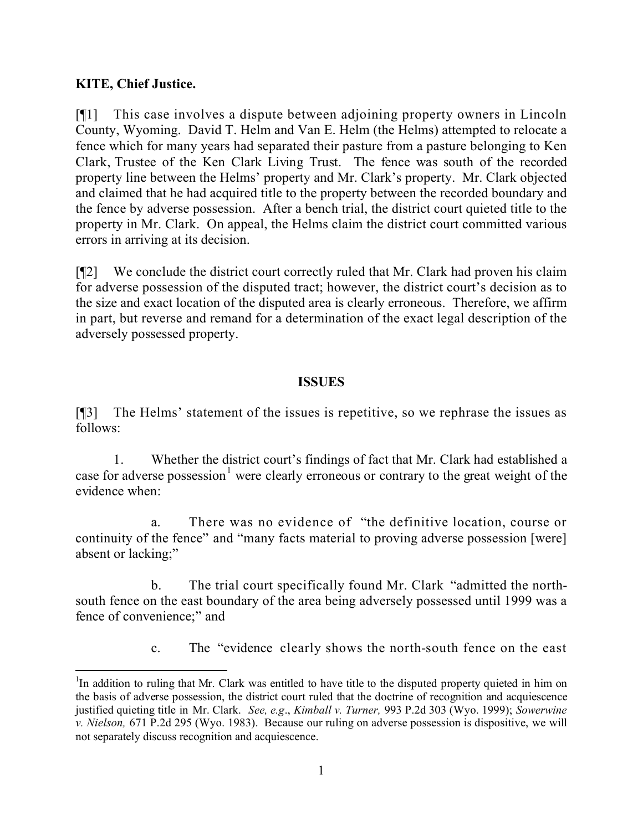### **KITE, Chief Justice.**

[¶1] This case involves a dispute between adjoining property owners in Lincoln County, Wyoming. David T. Helm and Van E. Helm (the Helms) attempted to relocate a fence which for many years had separated their pasture from a pasture belonging to Ken Clark, Trustee of the Ken Clark Living Trust. The fence was south of the recorded property line between the Helms' property and Mr. Clark's property. Mr. Clark objected and claimed that he had acquired title to the property between the recorded boundary and the fence by adverse possession. After a bench trial, the district court quieted title to the property in Mr. Clark. On appeal, the Helms claim the district court committed various errors in arriving at its decision.

[¶2] We conclude the district court correctly ruled that Mr. Clark had proven his claim for adverse possession of the disputed tract; however, the district court's decision as to the size and exact location of the disputed area is clearly erroneous. Therefore, we affirm in part, but reverse and remand for a determination of the exact legal description of the adversely possessed property.

#### **ISSUES**

[¶3] The Helms' statement of the issues is repetitive, so we rephrase the issues as follows:

1. Whether the district court's findings of fact that Mr. Clark had established a case for adverse possession<sup>1</sup> were clearly erroneous or contrary to the great weight of the evidence when:

a. There was no evidence of "the definitive location, course or continuity of the fence" and "many facts material to proving adverse possession [were] absent or lacking;"

b. The trial court specifically found Mr. Clark "admitted the northsouth fence on the east boundary of the area being adversely possessed until 1999 was a fence of convenience;" and

c. The "evidence clearly shows the north-south fence on the east

 $\overline{a}$ <sup>1</sup>In addition to ruling that Mr. Clark was entitled to have title to the disputed property quieted in him on the basis of adverse possession, the district court ruled that the doctrine of recognition and acquiescence justified quieting title in Mr. Clark. *See, e.g*., *Kimball v. Turner,* 993 P.2d 303 (Wyo. 1999); *Sowerwine v. Nielson,* 671 P.2d 295 (Wyo. 1983). Because our ruling on adverse possession is dispositive, we will not separately discuss recognition and acquiescence.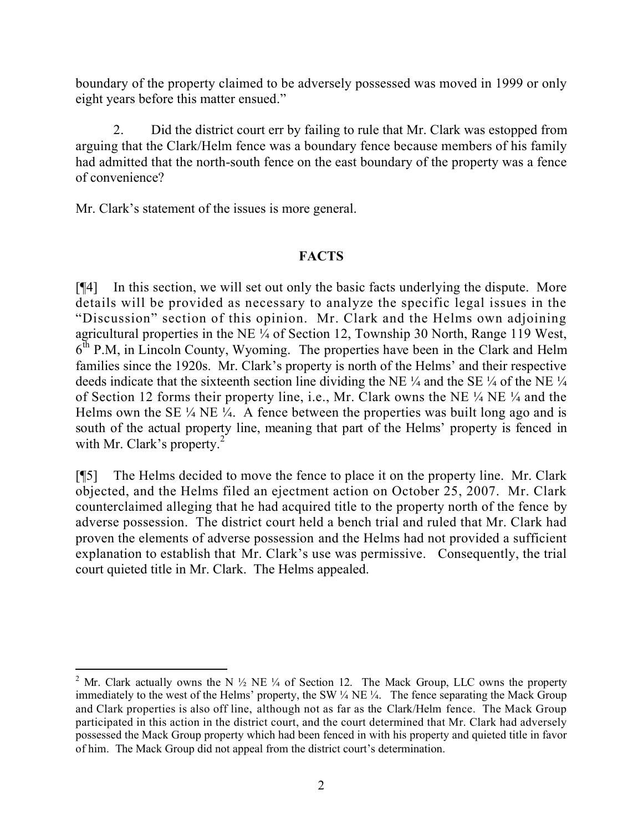boundary of the property claimed to be adversely possessed was moved in 1999 or only eight years before this matter ensued."

2. Did the district court err by failing to rule that Mr. Clark was estopped from arguing that the Clark/Helm fence was a boundary fence because members of his family had admitted that the north-south fence on the east boundary of the property was a fence of convenience?

Mr. Clark's statement of the issues is more general.

### **FACTS**

[¶4] In this section, we will set out only the basic facts underlying the dispute. More details will be provided as necessary to analyze the specific legal issues in the "Discussion" section of this opinion. Mr. Clark and the Helms own adjoining agricultural properties in the NE ¼ of Section 12, Township 30 North, Range 119 West,  $6^{\text{th}}$  P.M, in Lincoln County, Wyoming. The properties have been in the Clark and Helm families since the 1920s. Mr. Clark's property is north of the Helms' and their respective deeds indicate that the sixteenth section line dividing the NE ¼ and the SE ¼ of the NE ¼ of Section 12 forms their property line, i.e., Mr. Clark owns the NE ¼ NE ¼ and the Helms own the SE  $\frac{1}{4}$  NE  $\frac{1}{4}$ . A fence between the properties was built long ago and is south of the actual property line, meaning that part of the Helms' property is fenced in with Mr. Clark's property.<sup>2</sup>

[¶5] The Helms decided to move the fence to place it on the property line. Mr. Clark objected, and the Helms filed an ejectment action on October 25, 2007. Mr. Clark counterclaimed alleging that he had acquired title to the property north of the fence by adverse possession. The district court held a bench trial and ruled that Mr. Clark had proven the elements of adverse possession and the Helms had not provided a sufficient explanation to establish that Mr. Clark's use was permissive. Consequently, the trial court quieted title in Mr. Clark. The Helms appealed.

<sup>&</sup>lt;sup>2</sup> Mr. Clark actually owns the N  $\frac{1}{2}$  NE  $\frac{1}{4}$  of Section 12. The Mack Group, LLC owns the property immediately to the west of the Helms' property, the SW ¼ NE ¼. The fence separating the Mack Group and Clark properties is also off line, although not as far as the Clark/Helm fence. The Mack Group participated in this action in the district court, and the court determined that Mr. Clark had adversely possessed the Mack Group property which had been fenced in with his property and quieted title in favor of him. The Mack Group did not appeal from the district court's determination.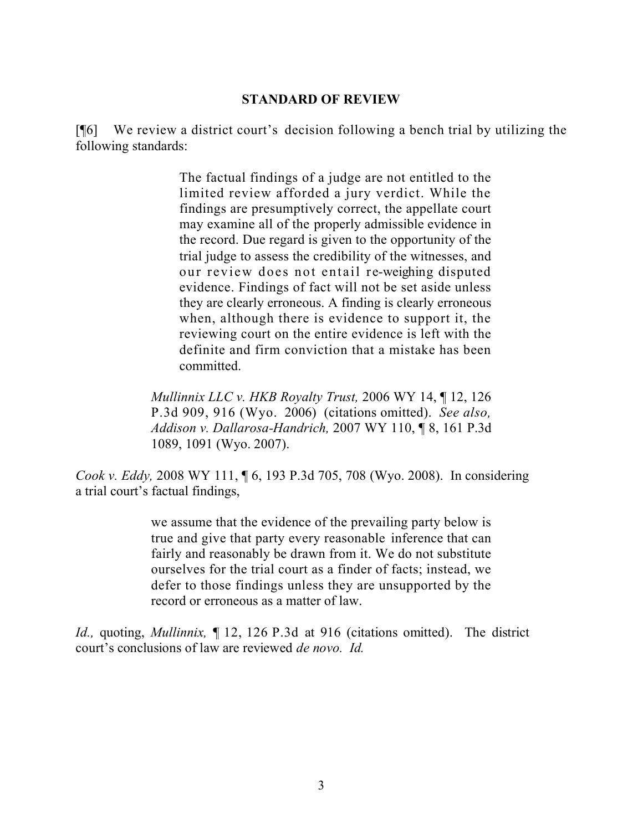#### **STANDARD OF REVIEW**

[¶6] We review a district court's decision following a bench trial by utilizing the following standards:

> The factual findings of a judge are not entitled to the limited review afforded a jury verdict. While the findings are presumptively correct, the appellate court may examine all of the properly admissible evidence in the record. Due regard is given to the opportunity of the trial judge to assess the credibility of the witnesses, and our review does not entail re-weighing disputed evidence. Findings of fact will not be set aside unless they are clearly erroneous. A finding is clearly erroneous when, although there is evidence to support it, the reviewing court on the entire evidence is left with the definite and firm conviction that a mistake has been committed.

*Mullinnix LLC v. HKB Royalty Trust,* 2006 WY 14, ¶ 12, 126 P.3d 909, 916 (Wyo. 2006) (citations omitted). *See also, Addison v. Dallarosa-Handrich,* 2007 WY 110, ¶ 8, 161 P.3d 1089, 1091 (Wyo. 2007).

*Cook v. Eddy,* 2008 WY 111, ¶ 6, 193 P.3d 705, 708 (Wyo. 2008). In considering a trial court's factual findings,

> we assume that the evidence of the prevailing party below is true and give that party every reasonable inference that can fairly and reasonably be drawn from it. We do not substitute ourselves for the trial court as a finder of facts; instead, we defer to those findings unless they are unsupported by the record or erroneous as a matter of law.

*Id.,* quoting, *Mullinnix,* ¶ 12, 126 P.3d at 916 (citations omitted). The district court's conclusions of law are reviewed *de novo. Id.*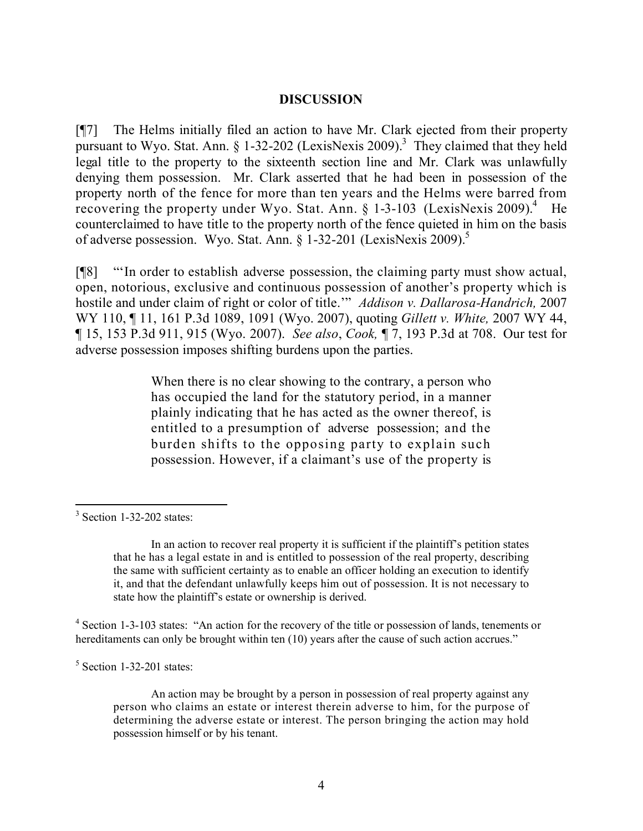#### **DISCUSSION**

[¶7] The Helms initially filed an action to have Mr. Clark ejected from their property pursuant to Wyo. Stat. Ann. § 1-32-202 (LexisNexis 2009).<sup>3</sup> They claimed that they held legal title to the property to the sixteenth section line and Mr. Clark was unlawfully denying them possession. Mr. Clark asserted that he had been in possession of the property north of the fence for more than ten years and the Helms were barred from recovering the property under Wyo. Stat. Ann. § 1-3-103 (LexisNexis 2009). <sup>4</sup> He counterclaimed to have title to the property north of the fence quieted in him on the basis of adverse possession. Wyo. Stat. Ann. § 1-32-201 (LexisNexis 2009). 5

[¶8] "'In order to establish adverse possession, the claiming party must show actual, open, notorious, exclusive and continuous possession of another's property which is hostile and under claim of right or color of title.'" *Addison v. Dallarosa-Handrich,* 2007 WY 110, ¶ 11, 161 P.3d 1089, 1091 (Wyo. 2007), quoting *Gillett v. White,* 2007 WY 44, ¶ 15, 153 P.3d 911, 915 (Wyo. 2007). *See also*, *Cook,* ¶ 7, 193 P.3d at 708. Our test for adverse possession imposes shifting burdens upon the parties.

> When there is no clear showing to the contrary, a person who has occupied the land for the statutory period, in a manner plainly indicating that he has acted as the owner thereof, is entitled to a presumption of adverse possession; and the burden shifts to the opposing party to explain such possession. However, if a claimant's use of the property is

 $\overline{a}$ 

<sup>4</sup> Section 1-3-103 states: "An action for the recovery of the title or possession of lands, tenements or hereditaments can only be brought within ten (10) years after the cause of such action accrues."

<sup>5</sup> Section 1-32-201 states:

<sup>&</sup>lt;sup>3</sup> Section 1-32-202 states:

In an action to recover real property it is sufficient if the plaintiff's petition states that he has a legal estate in and is entitled to possession of the real property, describing the same with sufficient certainty as to enable an officer holding an execution to identify it, and that the defendant unlawfully keeps him out of possession. It is not necessary to state how the plaintiff's estate or ownership is derived.

An action may be brought by a person in possession of real property against any person who claims an estate or interest therein adverse to him, for the purpose of determining the adverse estate or interest. The person bringing the action may hold possession himself or by his tenant.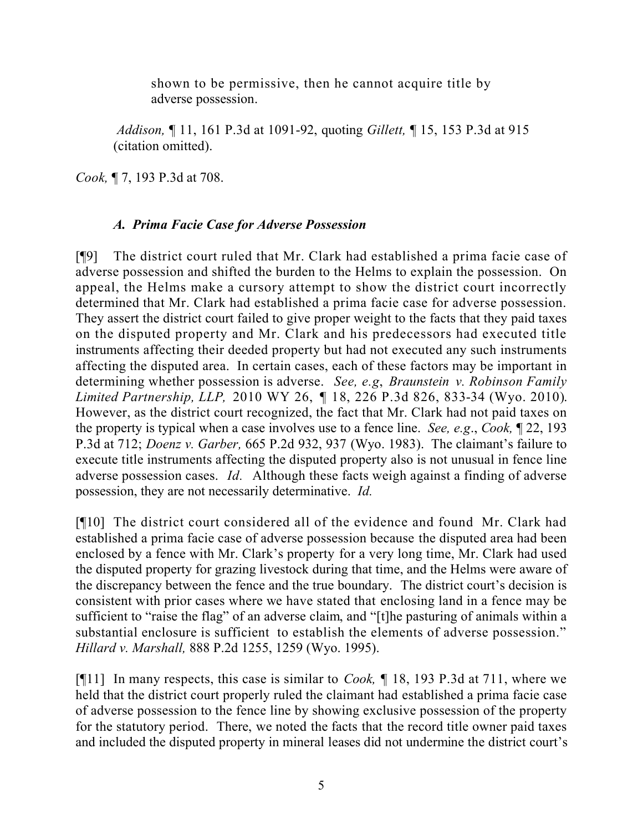shown to be permissive, then he cannot acquire title by adverse possession.

*Addison,* ¶ 11, 161 P.3d at 1091-92, quoting *Gillett,* ¶ 15, 153 P.3d at 915 (citation omitted).

*Cook,* ¶ 7, 193 P.3d at 708.

# *A. Prima Facie Case for Adverse Possession*

[¶9] The district court ruled that Mr. Clark had established a prima facie case of adverse possession and shifted the burden to the Helms to explain the possession. On appeal, the Helms make a cursory attempt to show the district court incorrectly determined that Mr. Clark had established a prima facie case for adverse possession. They assert the district court failed to give proper weight to the facts that they paid taxes on the disputed property and Mr. Clark and his predecessors had executed title instruments affecting their deeded property but had not executed any such instruments affecting the disputed area. In certain cases, each of these factors may be important in determining whether possession is adverse. *See, e.g*, *Braunstein v. Robinson Family Limited Partnership, LLP,* 2010 WY 26, ¶ 18, 226 P.3d 826, 833-34 (Wyo. 2010). However, as the district court recognized, the fact that Mr. Clark had not paid taxes on the property is typical when a case involves use to a fence line. *See, e.g*., *Cook,* ¶ 22, 193 P.3d at 712; *Doenz v. Garber,* 665 P.2d 932, 937 (Wyo. 1983). The claimant's failure to execute title instruments affecting the disputed property also is not unusual in fence line adverse possession cases. *Id.* Although these facts weigh against a finding of adverse possession, they are not necessarily determinative. *Id.* 

[¶10] The district court considered all of the evidence and found Mr. Clark had established a prima facie case of adverse possession because the disputed area had been enclosed by a fence with Mr. Clark's property for a very long time, Mr. Clark had used the disputed property for grazing livestock during that time, and the Helms were aware of the discrepancy between the fence and the true boundary. The district court's decision is consistent with prior cases where we have stated that enclosing land in a fence may be sufficient to "raise the flag" of an adverse claim, and "[t]he pasturing of animals within a substantial enclosure is sufficient to establish the elements of adverse possession." *Hillard v. Marshall,* 888 P.2d 1255, 1259 (Wyo. 1995).

[¶11] In many respects, this case is similar to *Cook,* ¶ 18, 193 P.3d at 711, where we held that the district court properly ruled the claimant had established a prima facie case of adverse possession to the fence line by showing exclusive possession of the property for the statutory period. There, we noted the facts that the record title owner paid taxes and included the disputed property in mineral leases did not undermine the district court's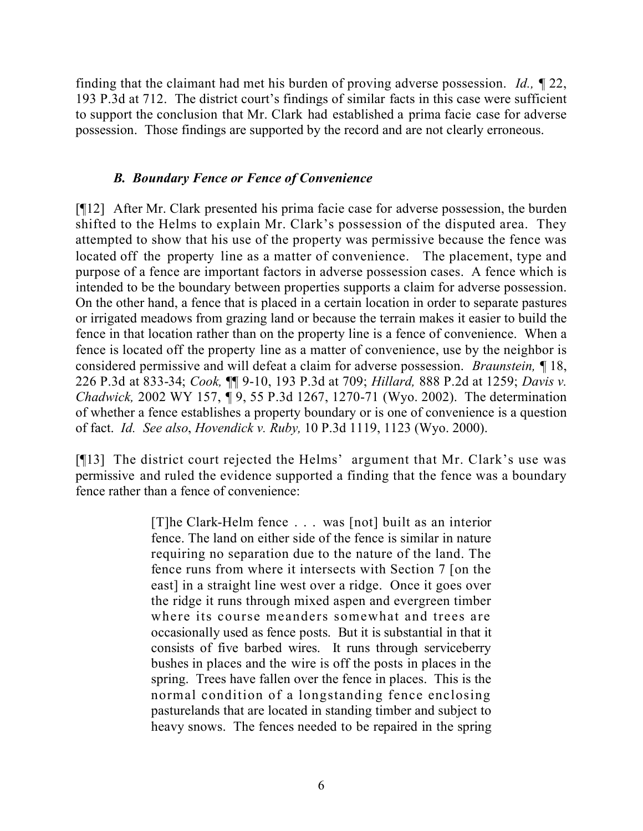finding that the claimant had met his burden of proving adverse possession. *Id.,* ¶ 22, 193 P.3d at 712. The district court's findings of similar facts in this case were sufficient to support the conclusion that Mr. Clark had established a prima facie case for adverse possession. Those findings are supported by the record and are not clearly erroneous.

### *B. Boundary Fence or Fence of Convenience*

[¶12] After Mr. Clark presented his prima facie case for adverse possession, the burden shifted to the Helms to explain Mr. Clark's possession of the disputed area. They attempted to show that his use of the property was permissive because the fence was located off the property line as a matter of convenience. The placement, type and purpose of a fence are important factors in adverse possession cases. A fence which is intended to be the boundary between properties supports a claim for adverse possession. On the other hand, a fence that is placed in a certain location in order to separate pastures or irrigated meadows from grazing land or because the terrain makes it easier to build the fence in that location rather than on the property line is a fence of convenience. When a fence is located off the property line as a matter of convenience, use by the neighbor is considered permissive and will defeat a claim for adverse possession. *Braunstein,* ¶ 18, 226 P.3d at 833-34; *Cook,* ¶¶ 9-10, 193 P.3d at 709; *Hillard,* 888 P.2d at 1259; *Davis v. Chadwick,* 2002 WY 157, ¶ 9, 55 P.3d 1267, 1270-71 (Wyo. 2002). The determination of whether a fence establishes a property boundary or is one of convenience is a question of fact. *Id. See also*, *Hovendick v. Ruby,* 10 P.3d 1119, 1123 (Wyo. 2000).

[¶13] The district court rejected the Helms' argument that Mr. Clark's use was permissive and ruled the evidence supported a finding that the fence was a boundary fence rather than a fence of convenience:

> [T]he Clark-Helm fence . . . was [not] built as an interior fence. The land on either side of the fence is similar in nature requiring no separation due to the nature of the land. The fence runs from where it intersects with Section 7 [on the east] in a straight line west over a ridge. Once it goes over the ridge it runs through mixed aspen and evergreen timber where its course meanders somewhat and trees are occasionally used as fence posts. But it is substantial in that it consists of five barbed wires. It runs through serviceberry bushes in places and the wire is off the posts in places in the spring. Trees have fallen over the fence in places. This is the normal condition of a longstanding fence enclosing pasturelands that are located in standing timber and subject to heavy snows. The fences needed to be repaired in the spring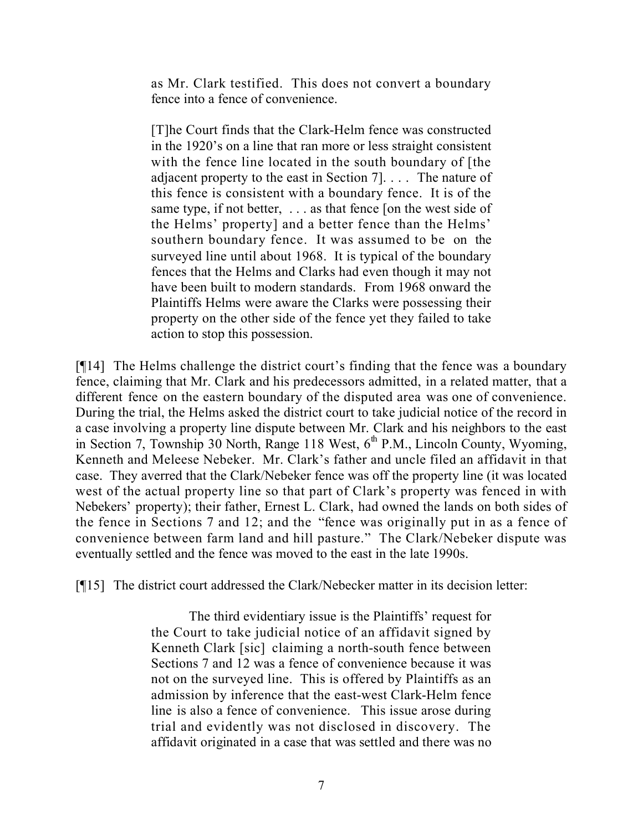as Mr. Clark testified. This does not convert a boundary fence into a fence of convenience.

[T]he Court finds that the Clark-Helm fence was constructed in the 1920's on a line that ran more or less straight consistent with the fence line located in the south boundary of [the adjacent property to the east in Section 7]. . . . The nature of this fence is consistent with a boundary fence. It is of the same type, if not better, ... as that fence [on the west side of the Helms' property] and a better fence than the Helms' southern boundary fence. It was assumed to be on the surveyed line until about 1968. It is typical of the boundary fences that the Helms and Clarks had even though it may not have been built to modern standards. From 1968 onward the Plaintiffs Helms were aware the Clarks were possessing their property on the other side of the fence yet they failed to take action to stop this possession.

[¶14] The Helms challenge the district court's finding that the fence was a boundary fence, claiming that Mr. Clark and his predecessors admitted, in a related matter, that a different fence on the eastern boundary of the disputed area was one of convenience. During the trial, the Helms asked the district court to take judicial notice of the record in a case involving a property line dispute between Mr. Clark and his neighbors to the east in Section 7, Township 30 North, Range 118 West,  $6<sup>th</sup>$  P.M., Lincoln County, Wyoming, Kenneth and Meleese Nebeker. Mr. Clark's father and uncle filed an affidavit in that case. They averred that the Clark/Nebeker fence was off the property line (it was located west of the actual property line so that part of Clark's property was fenced in with Nebekers' property); their father, Ernest L. Clark, had owned the lands on both sides of the fence in Sections 7 and 12; and the "fence was originally put in as a fence of convenience between farm land and hill pasture." The Clark/Nebeker dispute was eventually settled and the fence was moved to the east in the late 1990s.

[¶15] The district court addressed the Clark/Nebecker matter in its decision letter:

The third evidentiary issue is the Plaintiffs' request for the Court to take judicial notice of an affidavit signed by Kenneth Clark [sic] claiming a north-south fence between Sections 7 and 12 was a fence of convenience because it was not on the surveyed line. This is offered by Plaintiffs as an admission by inference that the east-west Clark-Helm fence line is also a fence of convenience. This issue arose during trial and evidently was not disclosed in discovery. The affidavit originated in a case that was settled and there was no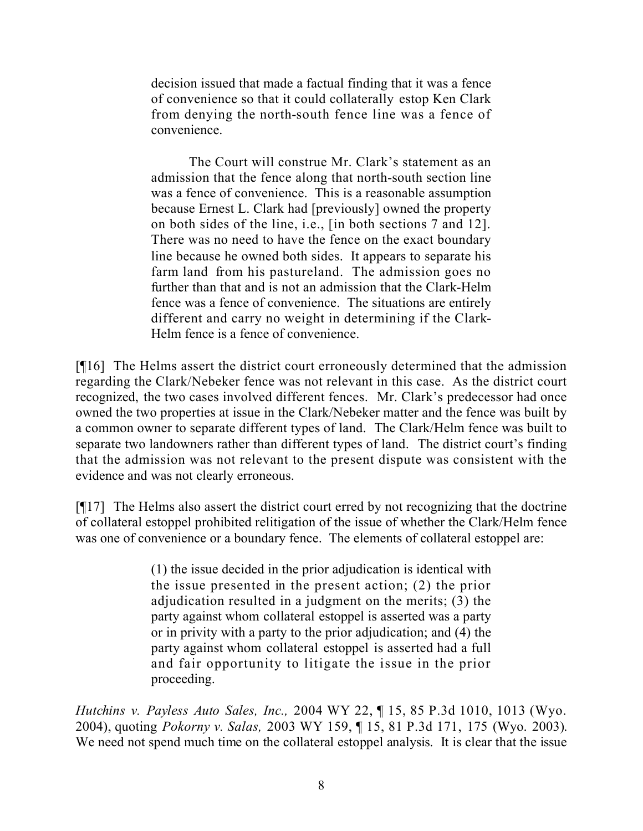decision issued that made a factual finding that it was a fence of convenience so that it could collaterally estop Ken Clark from denying the north-south fence line was a fence of convenience.

The Court will construe Mr. Clark's statement as an admission that the fence along that north-south section line was a fence of convenience. This is a reasonable assumption because Ernest L. Clark had [previously] owned the property on both sides of the line, i.e., [in both sections 7 and 12]. There was no need to have the fence on the exact boundary line because he owned both sides. It appears to separate his farm land from his pastureland. The admission goes no further than that and is not an admission that the Clark-Helm fence was a fence of convenience. The situations are entirely different and carry no weight in determining if the Clark-Helm fence is a fence of convenience.

[¶16] The Helms assert the district court erroneously determined that the admission regarding the Clark/Nebeker fence was not relevant in this case. As the district court recognized, the two cases involved different fences. Mr. Clark's predecessor had once owned the two properties at issue in the Clark/Nebeker matter and the fence was built by a common owner to separate different types of land. The Clark/Helm fence was built to separate two landowners rather than different types of land. The district court's finding that the admission was not relevant to the present dispute was consistent with the evidence and was not clearly erroneous.

[¶17] The Helms also assert the district court erred by not recognizing that the doctrine of collateral estoppel prohibited relitigation of the issue of whether the Clark/Helm fence was one of convenience or a boundary fence. The elements of collateral estoppel are:

> (1) the issue decided in the prior adjudication is identical with the issue presented in the present action; (2) the prior adjudication resulted in a judgment on the merits; (3) the party against whom collateral estoppel is asserted was a party or in privity with a party to the prior adjudication; and (4) the party against whom collateral estoppel is asserted had a full and fair opportunity to litigate the issue in the prior proceeding.

*Hutchins v. Payless Auto Sales, Inc.,* 2004 WY 22, ¶ 15, 85 P.3d 1010, 1013 (Wyo. 2004), quoting *Pokorny v. Salas,* 2003 WY 159, ¶ 15, 81 P.3d 171, 175 (Wyo. 2003). We need not spend much time on the collateral estoppel analysis. It is clear that the issue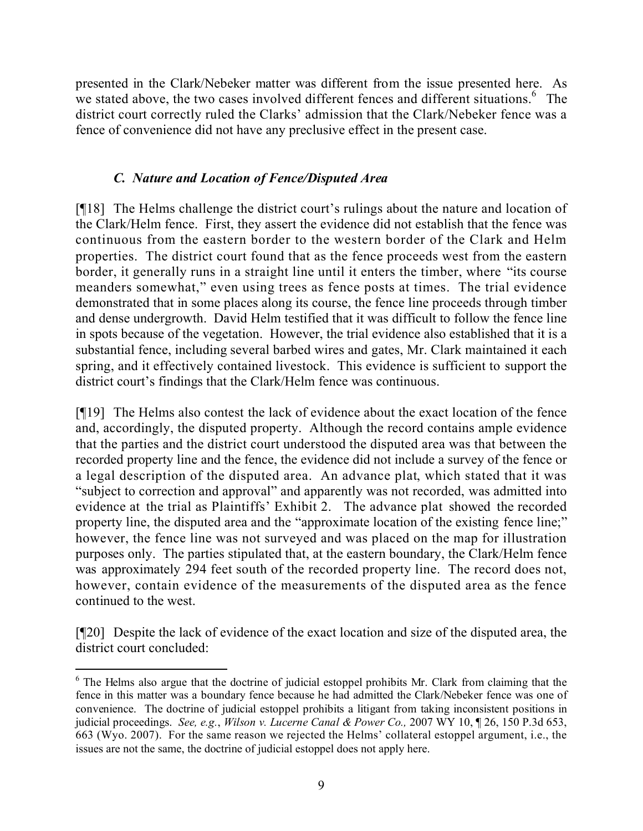presented in the Clark/Nebeker matter was different from the issue presented here. As we stated above, the two cases involved different fences and different situations.<sup>6</sup> The district court correctly ruled the Clarks' admission that the Clark/Nebeker fence was a fence of convenience did not have any preclusive effect in the present case.

## *C. Nature and Location of Fence/Disputed Area*

[¶18] The Helms challenge the district court's rulings about the nature and location of the Clark/Helm fence. First, they assert the evidence did not establish that the fence was continuous from the eastern border to the western border of the Clark and Helm properties. The district court found that as the fence proceeds west from the eastern border, it generally runs in a straight line until it enters the timber, where "its course meanders somewhat," even using trees as fence posts at times. The trial evidence demonstrated that in some places along its course, the fence line proceeds through timber and dense undergrowth. David Helm testified that it was difficult to follow the fence line in spots because of the vegetation. However, the trial evidence also established that it is a substantial fence, including several barbed wires and gates, Mr. Clark maintained it each spring, and it effectively contained livestock. This evidence is sufficient to support the district court's findings that the Clark/Helm fence was continuous.

[¶19] The Helms also contest the lack of evidence about the exact location of the fence and, accordingly, the disputed property. Although the record contains ample evidence that the parties and the district court understood the disputed area was that between the recorded property line and the fence, the evidence did not include a survey of the fence or a legal description of the disputed area. An advance plat, which stated that it was "subject to correction and approval" and apparently was not recorded, was admitted into evidence at the trial as Plaintiffs' Exhibit 2. The advance plat showed the recorded property line, the disputed area and the "approximate location of the existing fence line;" however, the fence line was not surveyed and was placed on the map for illustration purposes only. The parties stipulated that, at the eastern boundary, the Clark/Helm fence was approximately 294 feet south of the recorded property line. The record does not, however, contain evidence of the measurements of the disputed area as the fence continued to the west.

[¶20] Despite the lack of evidence of the exact location and size of the disputed area, the district court concluded:

<sup>6</sup> The Helms also argue that the doctrine of judicial estoppel prohibits Mr. Clark from claiming that the fence in this matter was a boundary fence because he had admitted the Clark/Nebeker fence was one of convenience. The doctrine of judicial estoppel prohibits a litigant from taking inconsistent positions in judicial proceedings. *See, e.g.*, *Wilson v. Lucerne Canal & Power Co.,* 2007 WY 10, ¶ 26, 150 P.3d 653, 663 (Wyo. 2007). For the same reason we rejected the Helms' collateral estoppel argument, i.e., the issues are not the same, the doctrine of judicial estoppel does not apply here.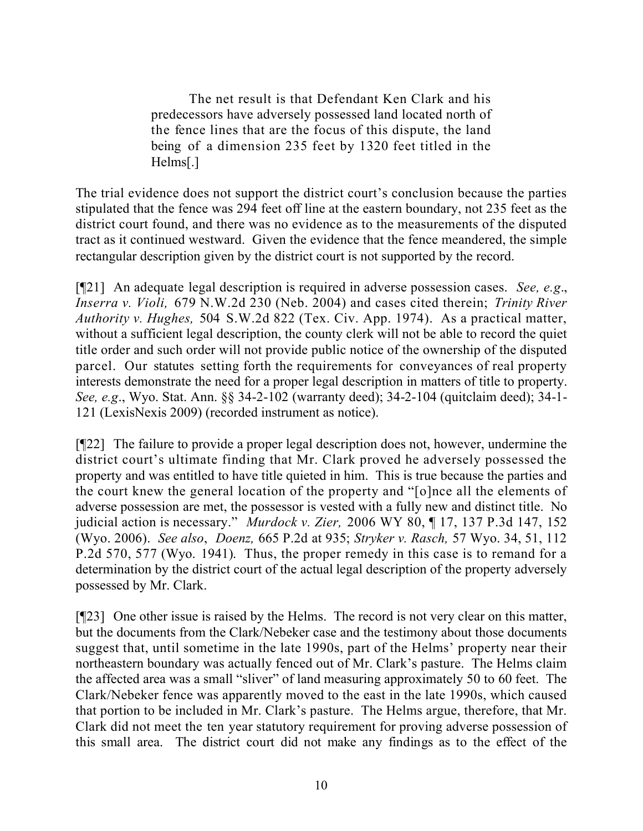The net result is that Defendant Ken Clark and his predecessors have adversely possessed land located north of the fence lines that are the focus of this dispute, the land being of a dimension 235 feet by 1320 feet titled in the Helms[.]

The trial evidence does not support the district court's conclusion because the parties stipulated that the fence was 294 feet off line at the eastern boundary, not 235 feet as the district court found, and there was no evidence as to the measurements of the disputed tract as it continued westward. Given the evidence that the fence meandered, the simple rectangular description given by the district court is not supported by the record.

[¶21] An adequate legal description is required in adverse possession cases. *See, e.g*., *Inserra v. Violi,* 679 N.W.2d 230 (Neb. 2004) and cases cited therein; *Trinity River Authority v. Hughes,* 504 S.W.2d 822 (Tex. Civ. App. 1974). As a practical matter, without a sufficient legal description, the county clerk will not be able to record the quiet title order and such order will not provide public notice of the ownership of the disputed parcel. Our statutes setting forth the requirements for conveyances of real property interests demonstrate the need for a proper legal description in matters of title to property. *See, e.g*., Wyo. Stat. Ann. §§ 34-2-102 (warranty deed); 34-2-104 (quitclaim deed); 34-1- 121 (LexisNexis 2009) (recorded instrument as notice).

[¶22] The failure to provide a proper legal description does not, however, undermine the district court's ultimate finding that Mr. Clark proved he adversely possessed the property and was entitled to have title quieted in him. This is true because the parties and the court knew the general location of the property and "[o]nce all the elements of adverse possession are met, the possessor is vested with a fully new and distinct title. No judicial action is necessary." *Murdock v. Zier,* 2006 WY 80, ¶ 17, 137 P.3d 147, 152 (Wyo. 2006). *See also*, *Doenz,* 665 P.2d at 935; *Stryker v. Rasch,* 57 Wyo. 34, 51, 112 P.2d 570, 577 (Wyo. 1941). Thus, the proper remedy in this case is to remand for a determination by the district court of the actual legal description of the property adversely possessed by Mr. Clark.

[¶23] One other issue is raised by the Helms. The record is not very clear on this matter, but the documents from the Clark/Nebeker case and the testimony about those documents suggest that, until sometime in the late 1990s, part of the Helms' property near their northeastern boundary was actually fenced out of Mr. Clark's pasture. The Helms claim the affected area was a small "sliver" of land measuring approximately 50 to 60 feet. The Clark/Nebeker fence was apparently moved to the east in the late 1990s, which caused that portion to be included in Mr. Clark's pasture. The Helms argue, therefore, that Mr. Clark did not meet the ten year statutory requirement for proving adverse possession of this small area. The district court did not make any findings as to the effect of the